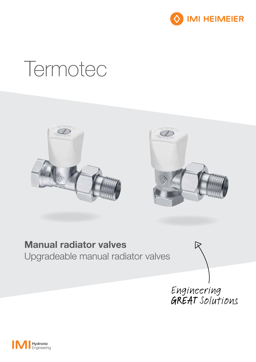

# Termotec





### Manual radiator valves Upgradeable manual radiator valves

Engineering<br>GREAT Solutions

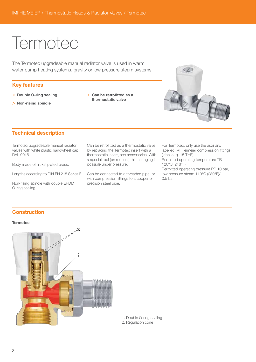## **Termotec**

The Termotec upgradeable manual radiator valve is used in warm water pump heating systems, gravity or low pressure steam systems.

#### Key features

- > Double O-ring sealing
- > Non-rising spindle
- > Can be retrofitted as a thermostatic valve



#### Technical description

Termotec upgradeable manual radiator valves with white plastic handwheel cap, RAL 9016.

Body made of nickel plated brass.

Lengths according to DIN EN 215 Series F.

Non-rising spindle with double EPDM O-ring sealing.

Can be retrofitted as a thermostatic valve by replacing the Termotec insert with a thermostatic insert, see accessories. With a special tool (on request) this changing is possible under pressure.

Can be connected to a threaded pipe, or with compression fittings to a copper or precision steel pipe.

For Termotec, only use the auxiliary, labelled IMI Heimeier compression fittings (label e. g. 15 THE). Permitted operating temperature TB 120°C (248°F). Permitted operating pressure PB 10 bar, low pressure steam 110°C (230°F)/ 0.5 bar.

#### **Construction**

#### **Termotec**



1. Double O-ring sealing 2. Regulation cone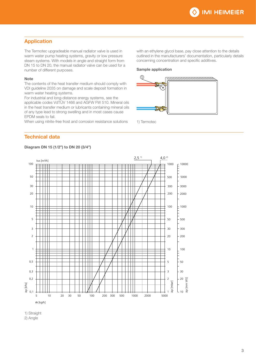#### Application

The Termotec upgradeable manual radiator valve is used in warm water pump heating systems, gravity or low pressure steam systems. With models in angle and straight form from DN 15 to DN 20, the manual radiator valve can be used for a number of different purposes.

#### Note

The contents of the heat transfer medium should comply with VDI guideline 2035 on damage and scale deposit formation in warm water heating systems.

For industrial and long-distance energy systems, see the applicable codes VdTÜV 1466 and AGFW FW 510. Mineral oils in the heat transfer medium or lubricants containing mineral oils of any type lead to strong swelling and in most cases cause EPDM seals to fail.

When using nitrite-free frost and corrosion resistance solutions

with an ethylene glycol base, pay close attention to the details outlined in the manufacturers' documentation, particularly details concerning concentration and specific additives.

#### Sample application



1) Termotec

#### Technical data

#### Diagram DN 15 (1/2") to DN 20 (3/4")



1) Straight

2) Angle